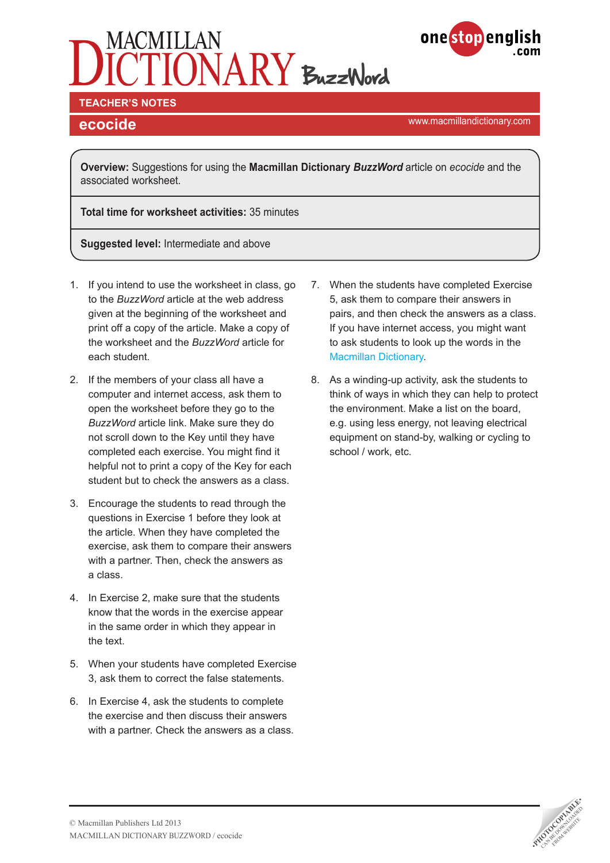



### **TEACHER'S NOTES**

www.macmillandictionary.com **ecocide**

**Overview:** Suggestions for using the **Macmillan Dictionary** *BuzzWord* article on *ecocide* and the associated worksheet.

**Total time for worksheet activities:** 35 minutes

**Suggested level:** Intermediate and above

- 1. If you intend to use the worksheet in class, go to the *BuzzWord* article at the web address given at the beginning of the worksheet and print off a copy of the article. Make a copy of the worksheet and the *BuzzWord* article for each student.
- 2. If the members of your class all have a computer and internet access, ask them to open the worksheet before they go to the *BuzzWord* article link. Make sure they do not scroll down to the Key until they have completed each exercise. You might find it helpful not to print a copy of the Key for each student but to check the answers as a class.
- 3. Encourage the students to read through the questions in Exercise 1 before they look at the article. When they have completed the exercise, ask them to compare their answers with a partner. Then, check the answers as a class.
- 4. In Exercise 2, make sure that the students know that the words in the exercise appear in the same order in which they appear in the text.
- 5. When your students have completed Exercise 3, ask them to correct the false statements.
- 6. In Exercise 4, ask the students to complete the exercise and then discuss their answers with a partner. Check the answers as a class.
- 7. When the students have completed Exercise 5, ask them to compare their answers in pairs, and then check the answers as a class. If you have internet access, you might want to ask students to look up the words in the [Macmillan Dictionary](http://www.macmillandictionary.com/).
- 8. As a winding-up activity, ask the students to think of ways in which they can help to protect the environment. Make a list on the board, e.g. using less energy, not leaving electrical equipment on stand-by, walking or cycling to school / work, etc.

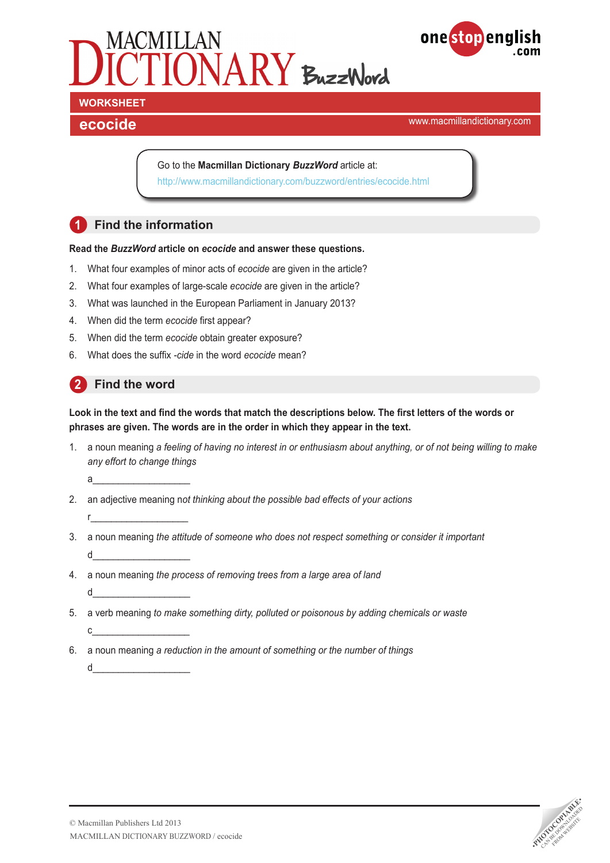



www.macmillandictionary.com **ecocide**

Go to the **Macmillan Dictionary** *BuzzWord* article at: <http://www.macmillandictionary.com/buzzword/entries/ecocide.html>

# **1 Find the information**

#### **Read the** *BuzzWord* **article on** *ecocide* **and answer these questions.**

- 1. What four examples of minor acts of *ecocide* are given in the article?
- 2. What four examples of large-scale *ecocide* are given in the article?
- 3. What was launched in the European Parliament in January 2013?
- 4. When did the term *ecocide* first appear?
- 5. When did the term *ecocide* obtain greater exposure?
- 6. What does the suffix *-cide* in the word *ecocide* mean?

# **2 Find the word**

r\_\_\_\_\_\_\_\_\_\_\_\_\_\_\_\_\_\_\_

**Look in the text and find the words that match the descriptions below. The first letters of the words or phrases are given. The words are in the order in which they appear in the text.** 

1. a noun meaning *a feeling of having no interest in or enthusiasm about anything, or of not being willing to make any effort to change things*

a\_\_\_\_\_\_\_\_\_\_\_\_\_\_\_\_\_\_\_

- 2. an adjective meaning n*ot thinking about the possible bad effects of your actions*
- 3. a noun meaning *the attitude of someone who does not respect something or consider it important* d\_\_\_\_\_\_\_\_\_\_\_\_\_\_\_\_\_\_\_
- 4. a noun meaning *the process of removing trees from a large area of land* d\_\_\_\_\_\_\_\_\_\_\_\_\_\_\_\_\_\_\_
- 5. a verb meaning *to make something dirty, polluted or poisonous by adding chemicals or waste*  $c$   $\qquad \qquad$
- 6. a noun meaning *a reduction in the amount of something or the number of things* d\_\_\_\_\_\_\_\_\_\_\_\_\_\_\_\_\_\_\_

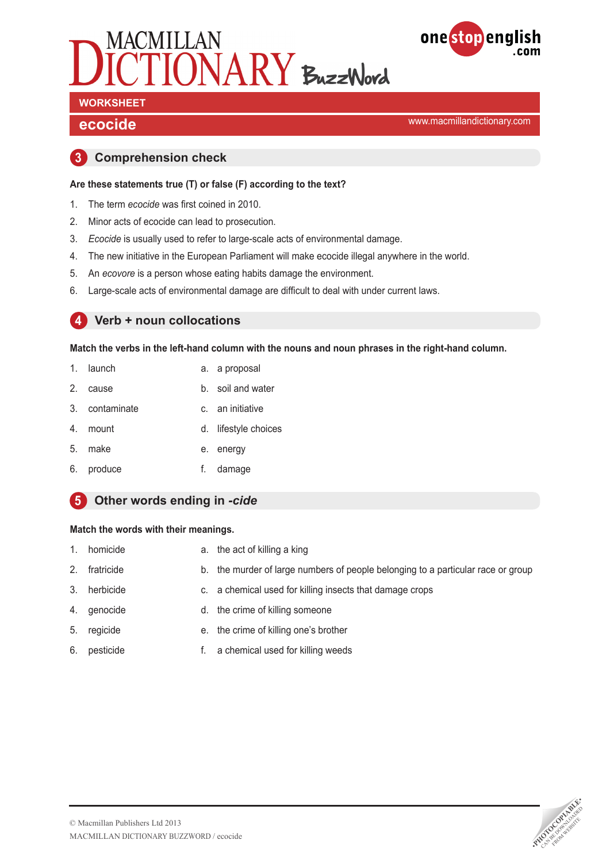



# **WORKSHEET**

www.macmillandictionary.com **ecocide**

### **3 Comprehension check**

#### **Are these statements true (T) or false (F) according to the text?**

- 1. The term *ecocide* was first coined in 2010.
- 2. Minor acts of ecocide can lead to prosecution.
- 3. *Ecocide* is usually used to refer to large-scale acts of environmental damage.
- 4. The new initiative in the European Parliament will make ecocide illegal anywhere in the world.
- 5. An *ecovore* is a person whose eating habits damage the environment.
- 6. Large-scale acts of environmental damage are difficult to deal with under current laws.

#### **4 Verb + noun collocations**

**Match the verbs in the left-hand column with the nouns and noun phrases in the right-hand column.** 

- 1. launch a. a proposal
- 2. cause b. soil and water
- 3. contaminate c. an initiative
- 4. mount d. lifestyle choices
- 5. make e. energy
- 6. produce f. damage

### **5 Other words ending in** *-cide*

#### **Match the words with their meanings.**

- 1. homicide **a.** the act of killing a king
- 2. fratricide b. the murder of large numbers of people belonging to a particular race or group
- 3. herbicide c. a chemical used for killing insects that damage crops
- 4. genocide d. the crime of killing someone
- 5. regicide e. the crime of killing one's brother
- 6. pesticide f. a chemical used for killing weeds